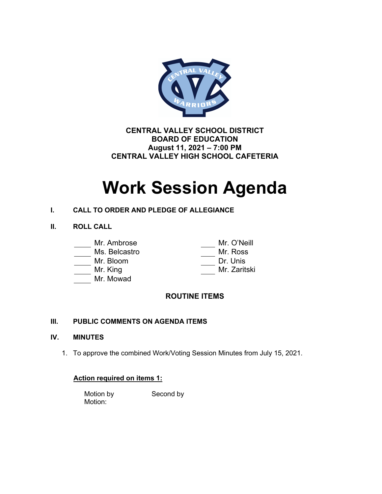

**CENTRAL VALLEY SCHOOL DISTRICT BOARD OF EDUCATION August 11, 2021 – 7:00 PM CENTRAL VALLEY HIGH SCHOOL CAFETERIA**

# **Work Session Agenda**

# **I. CALL TO ORDER AND PLEDGE OF ALLEGIANCE**

**II. ROLL CALL**

| Mr. Ambrose |
|-------------|
|             |

- 
- 
- 
- Mr. Mowad

Mr. O'Neill Ms. Belcastro Mr. Ross Mr. Bloom Dr. Unis Mr. King Mr. Zaritski

# **ROUTINE ITEMS**

# **III. PUBLIC COMMENTS ON AGENDA ITEMS**

## **IV. MINUTES**

1. To approve the combined Work/Voting Session Minutes from July 15, 2021.

# **Action required on items 1:**

Motion by Second by Motion: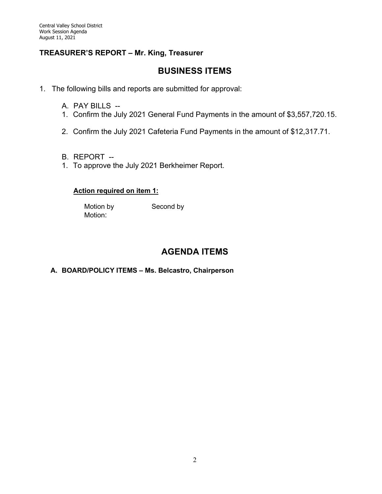# **TREASURER'S REPORT – Mr. King, Treasurer**

# **BUSINESS ITEMS**

- 1. The following bills and reports are submitted for approval:
	- A. PAY BILLS --
	- 1. Confirm the July 2021 General Fund Payments in the amount of \$3,557,720.15.
	- 2. Confirm the July 2021 Cafeteria Fund Payments in the amount of \$12,317.71.
	- B. REPORT --
	- 1. To approve the July 2021 Berkheimer Report.

## **Action required on item 1:**

Motion by Second by Motion:

# **AGENDA ITEMS**

## **A. BOARD/POLICY ITEMS – Ms. Belcastro, Chairperson**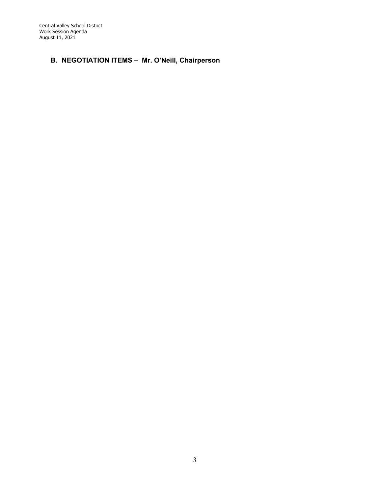# **B. NEGOTIATION ITEMS – Mr. O'Neill, Chairperson**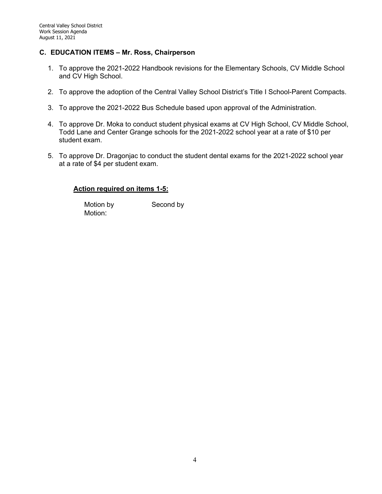### **C. EDUCATION ITEMS – Mr. Ross, Chairperson**

- 1. To approve the 2021-2022 Handbook revisions for the Elementary Schools, CV Middle School and CV High School.
- 2. To approve the adoption of the Central Valley School District's Title I School-Parent Compacts.
- 3. To approve the 2021-2022 Bus Schedule based upon approval of the Administration.
- 4. To approve Dr. Moka to conduct student physical exams at CV High School, CV Middle School, Todd Lane and Center Grange schools for the 2021-2022 school year at a rate of \$10 per student exam.
- 5. To approve Dr. Dragonjac to conduct the student dental exams for the 2021-2022 school year at a rate of \$4 per student exam.

#### **Action required on items 1-5:**

Motion by Second by Motion: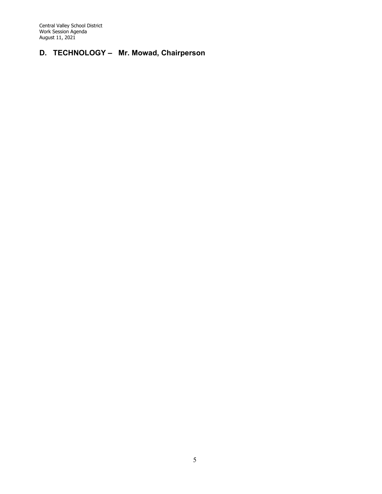# **D. TECHNOLOGY – Mr. Mowad, Chairperson**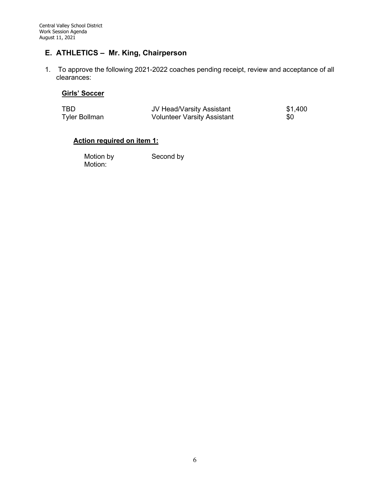# **E. ATHLETICS – Mr. King, Chairperson**

1. To approve the following 2021-2022 coaches pending receipt, review and acceptance of all clearances:

## **Girls' Soccer**

| TBD           | JV Head/Varsity Assistant          | \$1,400 |
|---------------|------------------------------------|---------|
| Tyler Bollman | <b>Volunteer Varsity Assistant</b> | \$0     |

## **Action required on item 1:**

Motion by Second by Motion: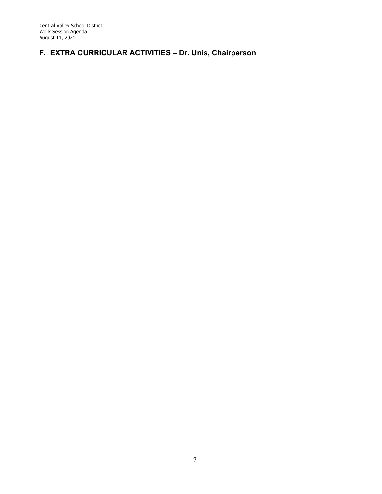# **F. EXTRA CURRICULAR ACTIVITIES – Dr. Unis, Chairperson**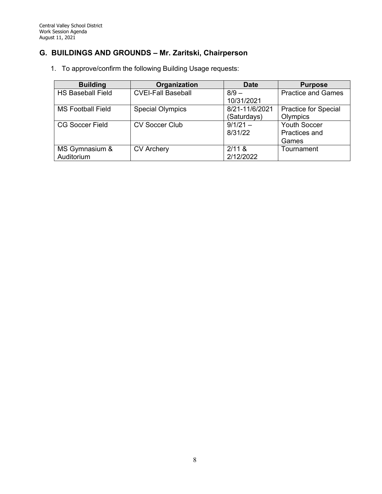# **G. BUILDINGS AND GROUNDS – Mr. Zaritski, Chairperson**

1. To approve/confirm the following Building Usage requests:

| <b>Building</b>          | Organization              | <b>Date</b>    | <b>Purpose</b>              |
|--------------------------|---------------------------|----------------|-----------------------------|
| <b>HS Baseball Field</b> | <b>CVEI-Fall Baseball</b> | $8/9 -$        | <b>Practice and Games</b>   |
|                          |                           | 10/31/2021     |                             |
| <b>MS Football Field</b> | <b>Special Olympics</b>   | 8/21-11/6/2021 | <b>Practice for Special</b> |
|                          |                           | (Saturdays)    | Olympics                    |
| <b>CG Soccer Field</b>   | <b>CV Soccer Club</b>     | $9/1/21 -$     | <b>Youth Soccer</b>         |
|                          |                           | 8/31/22        | Practices and               |
|                          |                           |                | Games                       |
| MS Gymnasium &           | <b>CV Archery</b>         | 2/11 &         | Tournament                  |
| Auditorium               |                           | 2/12/2022      |                             |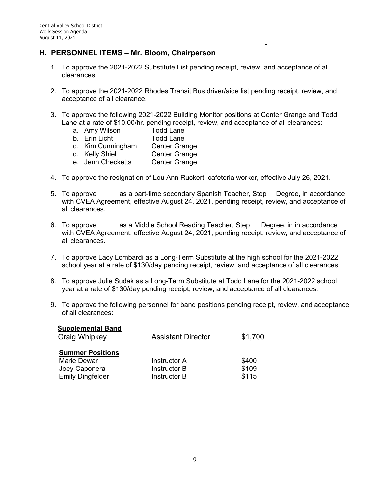1. To approve the 2021-2022 Substitute List pending receipt, review, and acceptance of all clearances.

 $\Box$ 

- 2. To approve the 2021-2022 Rhodes Transit Bus driver/aide list pending receipt, review, and acceptance of all clearance.
- 3. To approve the following 2021-2022 Building Monitor positions at Center Grange and Todd Lane at a rate of \$10.00/hr. pending receipt, review, and acceptance of all clearances:
	- a. Amy Wilson Todd Lane
	- b. Erin Licht Todd Lane
	- c. Kim Cunningham Center Grange
	- d. Kelly Shiel Center Grange
	- e. Jenn Checketts Center Grange
- 4. To approve the resignation of Lou Ann Ruckert, cafeteria worker, effective July 26, 2021.
- 5. To approve as a part-time secondary Spanish Teacher, Step Degree, in accordance with CVEA Agreement, effective August 24, 2021, pending receipt, review, and acceptance of all clearances.
- 6. To approve as a Middle School Reading Teacher, Step Degree, in in accordance with CVEA Agreement, effective August 24, 2021, pending receipt, review, and acceptance of all clearances.
- 7. To approve Lacy Lombardi as a Long-Term Substitute at the high school for the 2021-2022 school year at a rate of \$130/day pending receipt, review, and acceptance of all clearances.
- 8. To approve Julie Sudak as a Long-Term Substitute at Todd Lane for the 2021-2022 school year at a rate of \$130/day pending receipt, review, and acceptance of all clearances.
- 9. To approve the following personnel for band positions pending receipt, review, and acceptance of all clearances:

| <b>Supplemental Band</b><br>Craig Whipkey                                          | <b>Assistant Director</b>                                  | \$1,700                 |
|------------------------------------------------------------------------------------|------------------------------------------------------------|-------------------------|
| <b>Summer Positions</b><br>Marie Dewar<br>Joey Caponera<br><b>Emily Dingfelder</b> | <b>Instructor A</b><br><b>Instructor B</b><br>Instructor B | \$400<br>\$109<br>\$115 |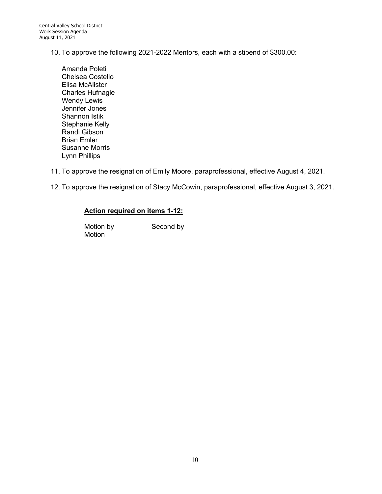- 10. To approve the following 2021-2022 Mentors, each with a stipend of \$300.00:
	- Amanda Poleti Chelsea Costello Elisa McAlister Charles Hufnagle Wendy Lewis Jennifer Jones Shannon Istik Stephanie Kelly Randi Gibson Brian Emler Susanne Morris Lynn Phillips
- 11. To approve the resignation of Emily Moore, paraprofessional, effective August 4, 2021.
- 12. To approve the resignation of Stacy McCowin, paraprofessional, effective August 3, 2021.

### **Action required on items 1-12:**

Motion by Second by Motion